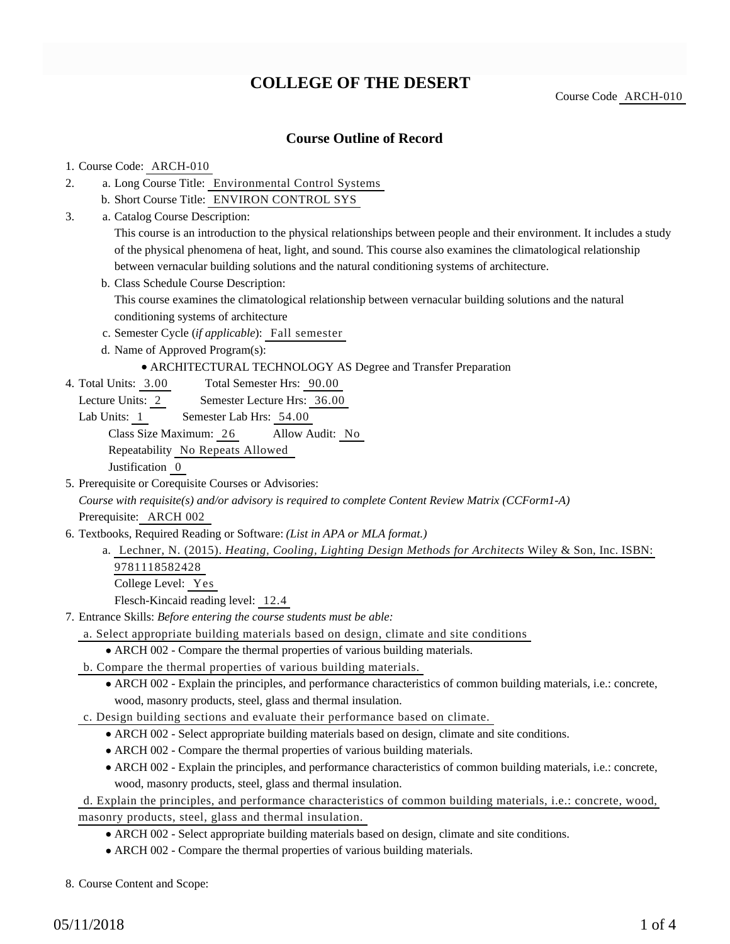# **COLLEGE OF THE DESERT**

Course Code ARCH-010

## **Course Outline of Record**

#### 1. Course Code: ARCH-010

- a. Long Course Title: Environmental Control Systems 2.
	- b. Short Course Title: ENVIRON CONTROL SYS
- Catalog Course Description: a. 3.

This course is an introduction to the physical relationships between people and their environment. It includes a study of the physical phenomena of heat, light, and sound. This course also examines the climatological relationship between vernacular building solutions and the natural conditioning systems of architecture.

b. Class Schedule Course Description:

This course examines the climatological relationship between vernacular building solutions and the natural conditioning systems of architecture

- c. Semester Cycle (*if applicable*): Fall semester
- d. Name of Approved Program(s):

#### ARCHITECTURAL TECHNOLOGY AS Degree and Transfer Preparation

- Total Semester Hrs: 90.00 4. Total Units: 3.00
	- Lecture Units: 2 Semester Lecture Hrs: 36.00
	- Lab Units: 1 Semester Lab Hrs: 54.00

Class Size Maximum: 26 Allow Audit: No

Repeatability No Repeats Allowed

Justification 0

5. Prerequisite or Corequisite Courses or Advisories:

*Course with requisite(s) and/or advisory is required to complete Content Review Matrix (CCForm1-A)* Prerequisite: ARCH 002

- 6. Textbooks, Required Reading or Software: (List in APA or MLA format.)
	- a. Lechner, N. (2015). *Heating, Cooling, Lighting Design Methods for Architects* Wiley & Son, Inc. ISBN: 9781118582428 College Level: Yes

Flesch-Kincaid reading level: 12.4

Entrance Skills: *Before entering the course students must be able:* 7.

- a. Select appropriate building materials based on design, climate and site conditions
	- ARCH 002 Compare the thermal properties of various building materials.
- b. Compare the thermal properties of various building materials.
	- ARCH 002 Explain the principles, and performance characteristics of common building materials, i.e.: concrete, wood, masonry products, steel, glass and thermal insulation.
- c. Design building sections and evaluate their performance based on climate.
	- ARCH 002 Select appropriate building materials based on design, climate and site conditions.
	- ARCH 002 Compare the thermal properties of various building materials.
	- ARCH 002 Explain the principles, and performance characteristics of common building materials, i.e.: concrete, wood, masonry products, steel, glass and thermal insulation.

### d. Explain the principles, and performance characteristics of common building materials, i.e.: concrete, wood, masonry products, steel, glass and thermal insulation.

- ARCH 002 Select appropriate building materials based on design, climate and site conditions.
- ARCH 002 Compare the thermal properties of various building materials.

8. Course Content and Scope: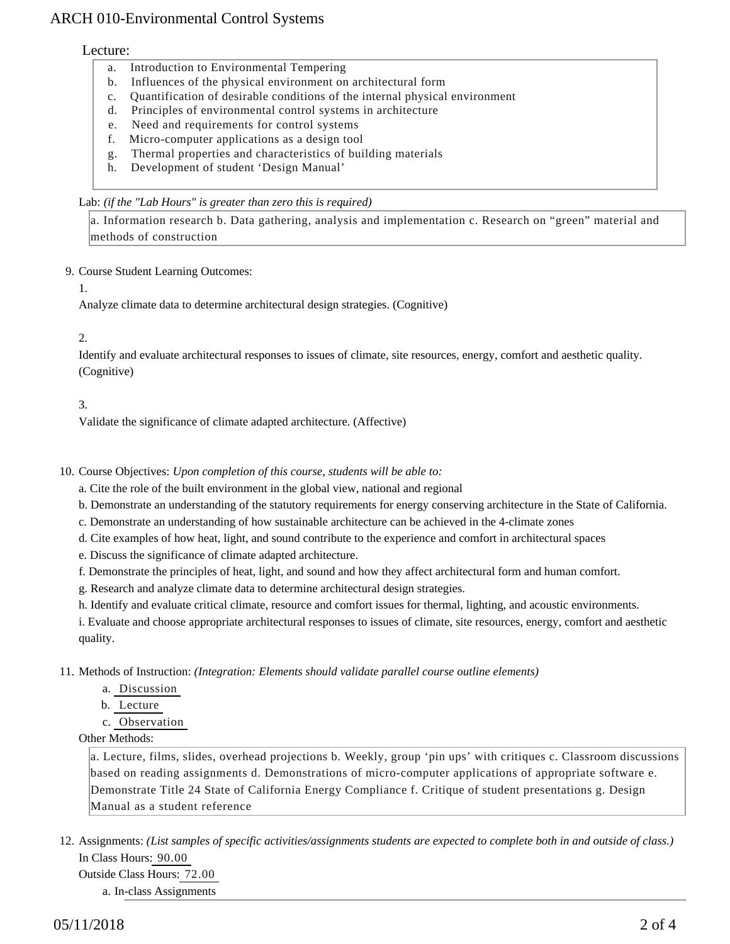## ARCH 010-Environmental Control Systems

#### Lecture:

- a. Introduction to Environmental Tempering
- b. Influences of the physical environment on architectural form
- c. Quantification of desirable conditions of the internal physical environment
- d. Principles of environmental control systems in architecture
- e. Need and requirements for control systems
- f. Micro-computer applications as a design tool
- g. Thermal properties and characteristics of building materials
- h. Development of student 'Design Manual'

#### Lab: *(if the "Lab Hours" is greater than zero this is required)*

a. Information research b. Data gathering, analysis and implementation c. Research on "green" material and methods of construction

#### 9. Course Student Learning Outcomes:

1.

Analyze climate data to determine architectural design strategies. (Cognitive)

#### 2.

Identify and evaluate architectural responses to issues of climate, site resources, energy, comfort and aesthetic quality. (Cognitive)

#### 3.

Validate the significance of climate adapted architecture. (Affective)

10. Course Objectives: Upon completion of this course, students will be able to:

a. Cite the role of the built environment in the global view, national and regional

b. Demonstrate an understanding of the statutory requirements for energy conserving architecture in the State of California.

c. Demonstrate an understanding of how sustainable architecture can be achieved in the 4-climate zones

d. Cite examples of how heat, light, and sound contribute to the experience and comfort in architectural spaces

e. Discuss the significance of climate adapted architecture.

f. Demonstrate the principles of heat, light, and sound and how they affect architectural form and human comfort.

g. Research and analyze climate data to determine architectural design strategies.

h. Identify and evaluate critical climate, resource and comfort issues for thermal, lighting, and acoustic environments.

i. Evaluate and choose appropriate architectural responses to issues of climate, site resources, energy, comfort and aesthetic quality.

11. Methods of Instruction: *(Integration: Elements should validate parallel course outline elements)* 

- a. Discussion
- b. Lecture
- c. Observation

#### Other Methods:

a. Lecture, films, slides, overhead projections b. Weekly, group 'pin ups' with critiques c. Classroom discussions based on reading assignments d. Demonstrations of micro-computer applications of appropriate software e. Demonstrate Title 24 State of California Energy Compliance f. Critique of student presentations g. Design Manual as a student reference

12. Assignments: (List samples of specific activities/assignments students are expected to complete both in and outside of class.) In Class Hours: 90.00

Outside Class Hours: 72.00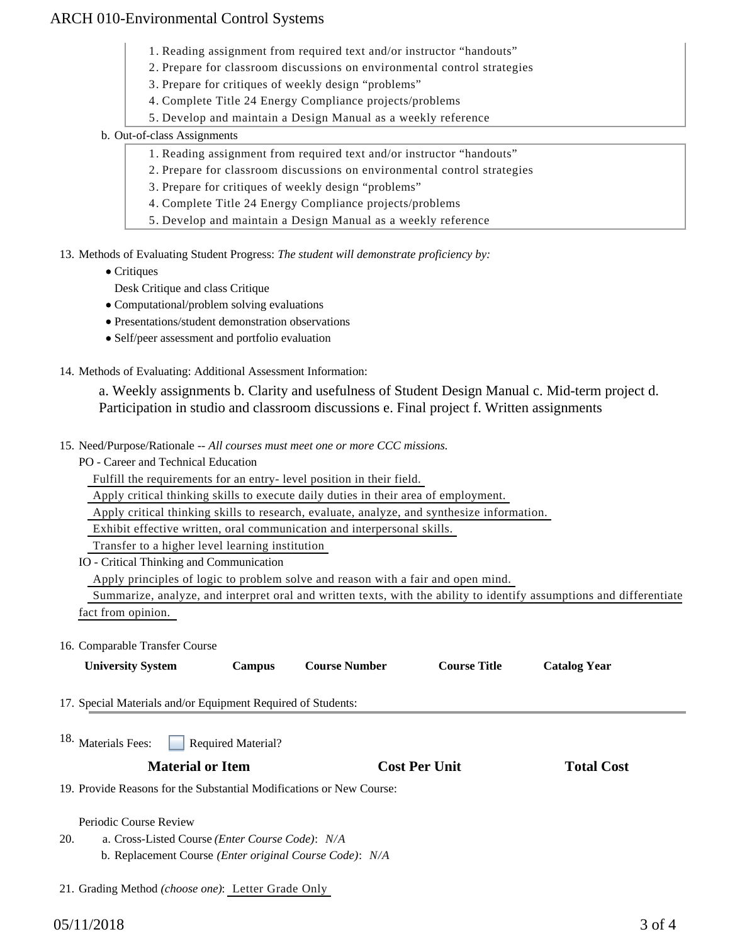## ARCH 010-Environmental Control Systems

- 1. Reading assignment from required text and/or instructor "handouts"
- 2. Prepare for classroom discussions on environmental control strategies
- 3. Prepare for critiques of weekly design "problems"
- 4. Complete Title 24 Energy Compliance projects/problems
- 5. Develop and maintain a Design Manual as a weekly reference
- b. Out-of-class Assignments
	- 1. Reading assignment from required text and/or instructor "handouts"
	- 2. Prepare for classroom discussions on environmental control strategies
	- 3. Prepare for critiques of weekly design "problems"
	- 4. Complete Title 24 Energy Compliance projects/problems
	- 5. Develop and maintain a Design Manual as a weekly reference
- 13. Methods of Evaluating Student Progress: The student will demonstrate proficiency by:
	- Critiques
		- Desk Critique and class Critique
	- Computational/problem solving evaluations
	- Presentations/student demonstration observations
	- Self/peer assessment and portfolio evaluation
- 14. Methods of Evaluating: Additional Assessment Information:

a. Weekly assignments b. Clarity and usefulness of Student Design Manual c. Mid-term project d. Participation in studio and classroom discussions e. Final project f. Written assignments

- 15. Need/Purpose/Rationale -- All courses must meet one or more CCC missions.
	- PO Career and Technical Education

Fulfill the requirements for an entry- level position in their field.

Apply critical thinking skills to execute daily duties in their area of employment.

Apply critical thinking skills to research, evaluate, analyze, and synthesize information.

Exhibit effective written, oral communication and interpersonal skills.

Transfer to a higher level learning institution

IO - Critical Thinking and Communication

21. Grading Method *(choose one)*: Letter Grade Only

Apply principles of logic to problem solve and reason with a fair and open mind.

 Summarize, analyze, and interpret oral and written texts, with the ability to identify assumptions and differentiate fact from opinion.

#### 16. Comparable Transfer Course

| <b>University System</b>                                             | <b>Campus</b>             | <b>Course Number</b> | <b>Course Title</b>  | <b>Catalog Year</b> |  |
|----------------------------------------------------------------------|---------------------------|----------------------|----------------------|---------------------|--|
| 17. Special Materials and/or Equipment Required of Students:         |                           |                      |                      |                     |  |
| <sup>18.</sup> Materials Fees:                                       | <b>Required Material?</b> |                      |                      |                     |  |
| <b>Material or Item</b>                                              |                           |                      | <b>Cost Per Unit</b> | <b>Total Cost</b>   |  |
| 19. Provide Reasons for the Substantial Modifications or New Course: |                           |                      |                      |                     |  |
| Periodic Course Review                                               |                           |                      |                      |                     |  |
| 20.<br>a. Cross-Listed Course ( <i>Enter Course Code</i> ): N/A      |                           |                      |                      |                     |  |
| b. Replacement Course (Enter original Course Code): N/A              |                           |                      |                      |                     |  |
|                                                                      |                           |                      |                      |                     |  |